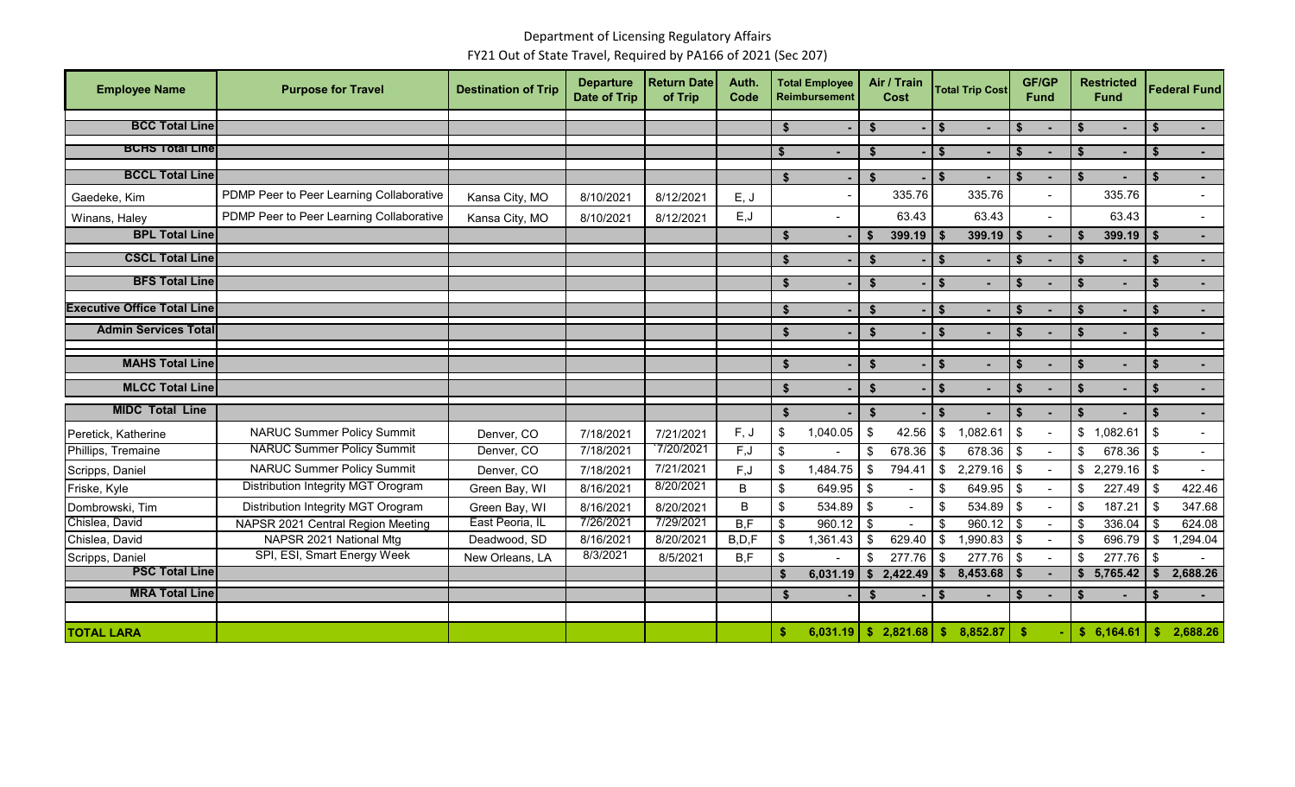## Department of Licensing Regulatory Affairs FY21 Out of State Travel, Required by PA166 of 2021 (Sec 207)

| <b>Employee Name</b>               | <b>Purpose for Travel</b>                | <b>Destination of Trip</b> | <b>Departure</b><br><b>Date of Trip</b> | <b>Return Date</b><br>of Trip | Auth.<br>Code | <b>Total Employee</b><br><b>Reimbursement</b> |          | Air / Train<br>Cost |              | <b>Total Trip Cost</b>                   |                    | <b>GF/GP</b><br><b>Fund</b> |               | <b>Restricted</b><br><b>Fund</b> |               | <b>Federal Fund</b> |  |
|------------------------------------|------------------------------------------|----------------------------|-----------------------------------------|-------------------------------|---------------|-----------------------------------------------|----------|---------------------|--------------|------------------------------------------|--------------------|-----------------------------|---------------|----------------------------------|---------------|---------------------|--|
| <b>BCC Total Line</b>              |                                          |                            |                                         |                               |               | \$                                            |          | $\mathbf{s}$        |              | $\mathbf{s}$                             | \$                 |                             | \$s           |                                  | <b>S</b>      | $\sim$              |  |
| <b>BCHS Total Line</b>             |                                          |                            |                                         |                               |               | \$                                            |          | \$                  |              | l \$                                     | -\$                |                             | -\$           | $\overline{a}$                   | \$            |                     |  |
| <b>BCCL Total Line</b>             |                                          |                            |                                         |                               |               | \$                                            |          | \$                  | $\mathsf{I}$ |                                          | $\mathbf{\hat{s}}$ |                             | - \$          |                                  | \$            |                     |  |
| Gaedeke, Kim                       | PDMP Peer to Peer Learning Collaborative | Kansa City, MO             | 8/10/2021                               | 8/12/2021                     | E, J          |                                               |          | 335.76              |              | 335.76                                   |                    |                             |               | 335.76                           |               |                     |  |
| Winans, Haley                      | PDMP Peer to Peer Learning Collaborative | Kansa City, MO             | 8/10/2021                               | 8/12/2021                     | E, J          |                                               |          | 63.43               |              | 63.43                                    |                    |                             |               | 63.43                            |               | $\blacksquare$      |  |
| <b>BPL Total Line</b>              |                                          |                            |                                         |                               |               | $\mathbf{s}$                                  |          | $399.19$ \ \$<br>S. |              | $399.19$ \ \$                            |                    |                             | \$            | 399.19                           | <b>S</b>      | $\sim$              |  |
| <b>CSCL Total Line</b>             |                                          |                            |                                         |                               |               | <b>S</b>                                      |          | $\ddot{\bm{r}}$     |              | $\mathbf{\hat{s}}$                       | \$                 |                             |               |                                  | \$            | $\sim$              |  |
| <b>BFS Total Line</b>              |                                          |                            |                                         |                               |               | \$                                            |          | $\mathbf{\hat{f}}$  |              | \$                                       | \$                 |                             | -\$           | $\blacksquare$                   | \$            |                     |  |
|                                    |                                          |                            |                                         |                               |               |                                               |          |                     |              |                                          |                    |                             |               |                                  |               |                     |  |
| <b>Executive Office Total Line</b> |                                          |                            |                                         |                               |               | -\$                                           |          |                     |              | <b>S</b>                                 |                    |                             |               | $\blacksquare$                   | $\mathbf{s}$  | $\sim$              |  |
| <b>Admin Services Total</b>        |                                          |                            |                                         |                               |               | \$                                            |          | \$                  |              | \$                                       | \$                 |                             | \$            | $\blacksquare$                   | -\$           | $\sim$              |  |
| <b>MAHS Total Line</b>             |                                          |                            |                                         |                               |               | \$                                            |          | \$                  |              | \$                                       | Ŝ.                 |                             | \$            |                                  | <b>S</b>      |                     |  |
| <b>MLCC Total Line</b>             |                                          |                            |                                         |                               |               | $\mathbf{s}$                                  |          | $\mathbf{\hat{f}}$  |              | \$                                       | $\mathbf{s}$       |                             | Ŝ.            |                                  | $\mathbf{s}$  | $\sim$              |  |
| <b>MIDC Total Line</b>             |                                          |                            |                                         |                               |               |                                               |          |                     |              |                                          |                    |                             |               |                                  |               |                     |  |
|                                    |                                          |                            |                                         |                               |               | \$                                            |          | \$                  |              | \$                                       | $\mathbf{s}$       |                             | \$            |                                  | \$            | $\sim$              |  |
| Peretick, Katherine                | <b>NARUC Summer Policy Summit</b>        | Denver, CO                 | 7/18/2021                               | 7/21/2021                     | F, J          | \$                                            | 1,040.05 | \$<br>42.56         |              | 1,082.61<br>$\sqrt[6]{2}$                | $\sqrt[6]{2}$      | $\overline{\phantom{a}}$    | \$            | 1,082.61                         | $\sqrt{3}$    | $\sim$              |  |
| Phillips, Tremaine                 | <b>NARUC Summer Policy Summit</b>        | Denver, CO                 | 7/18/2021                               | 7/20/2021                     | F, J          | \$                                            |          | \$<br>678.36        |              | $678.36$ \$<br>\$                        |                    |                             | \$            | 678.36                           | \$            | $\blacksquare$      |  |
| Scripps, Daniel                    | <b>NARUC Summer Policy Summit</b>        | Denver, CO                 | 7/18/2021                               | 7/21/2021                     | F, J          | $\sqrt[6]{2}$                                 | 1,484.75 | 794.41<br>\$        |              | 2,279.16<br>\$                           | \$                 |                             | \$            | 2,279.16                         | $\sqrt[6]{3}$ |                     |  |
| Friske, Kyle                       | Distribution Integrity MGT Orogram       | Green Bay, WI              | 8/16/2021                               | 8/20/2021                     | $\sf B$       | \$                                            | 649.95   | \$                  |              | $\sqrt[6]{3}$<br>$649.95$ \$             |                    | $\overline{\phantom{a}}$    | $\sqrt[6]{2}$ | 227.49                           | $\sqrt[6]{3}$ | 422.46              |  |
| Dombrowski, Tim                    | Distribution Integrity MGT Orogram       | Green Bay, WI              | 8/16/2021                               | 8/20/2021                     | B             | $\sqrt[6]{\frac{1}{2}}$                       | 534.89   | $\mathfrak s$       |              | $534.89$ \ \$<br>$\sqrt[6]{\frac{1}{2}}$ |                    |                             | \$            | 187.21                           | \$            | 347.68              |  |
| Chislea, David                     | NAPSR 2021 Central Region Meeting        | East Peoria, IL            | 7/26/2021                               | 7/29/2021                     | B.F           | \$                                            | 960.12   | $\mathbf{\$}$       |              | $960.12$ \$<br>\$                        |                    |                             | \$            | 336.04                           | - \$          | 624.08              |  |
| Chislea, David                     | NAPSR 2021 National Mtg                  | Deadwood, SD               | 8/16/2021                               | 8/20/2021                     | B.D.F         | \$                                            | 1,361.43 | 629.40<br>\$        |              | \$<br>$1,990.83$ \$                      |                    | $\sim$                      | \$            | 696.79                           | \$            | ,294.04             |  |
| Scripps, Daniel                    | SPI, ESI, Smart Energy Week              | New Orleans, LA            | 8/3/2021                                | 8/5/2021                      | B,F           | $\boldsymbol{\mathsf{S}}$                     |          | 277.76<br>\$        |              | $277.76$ \$<br>\$                        |                    |                             | \$            | 277.76                           | $\sqrt[6]{3}$ |                     |  |
| <b>PSC Total Line</b>              |                                          |                            |                                         |                               |               | \$                                            | 6,031.19 | \$2,422.49          |              | $8,453.68$ \$<br>Ŝ.                      |                    |                             | S.            | 5,765.42                         | <b>S</b>      | 2,688.26            |  |
| <b>MRA Total Line</b>              |                                          |                            |                                         |                               |               | - \$                                          |          | $\mathbf{\hat{f}}$  |              | $\mathbf{s}$                             | - \$               | $\blacksquare$              | Ŝ.            | $\blacksquare$                   | <b>S</b>      |                     |  |
|                                    |                                          |                            |                                         |                               |               |                                               |          |                     |              |                                          |                    |                             |               |                                  |               |                     |  |
| <b>TOTAL LARA</b>                  |                                          |                            |                                         |                               |               | \$.                                           | 6,031.19 | \$2,821.68          |              | \$<br>8,852.87                           | \$.                |                             |               | \$6,164.61                       | \$            | 2,688.26            |  |